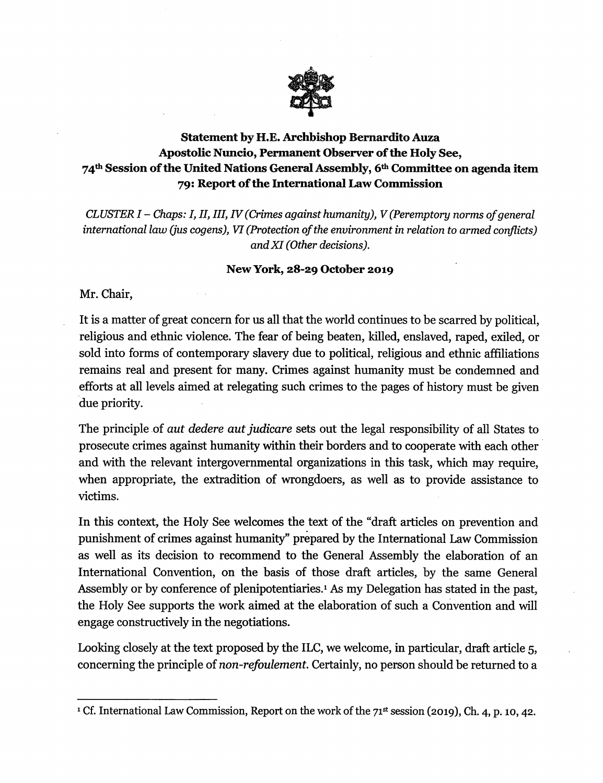

## Statement by H.E. Archbishop Bemardito Auza Apostolic Nuncio, Permanent Observer of the Holy See, 74<sup>th</sup> Session of the United Nations General Assembly, 6<sup>th</sup> Committee on agenda item 79: Report of the International Law Commission

CLUSTER I – Chaps: I, II, III, IV (Crimes against humanity), V (Peremptory norms of general international law (jus cogens), VI (Protection of the environment in relation to armed conflicts) and XI (Other decisions).

## New York, 28-29 October 2019

Mr. Chair,

It is a matter of great concern for us all that the world continues to be scarred by political, religious and ethnic violence. The fear of being beaten, killed, enslaved, raped, exiled, or sold into forms of contemporary slavery due to political, religious and ethnic affiliations remains real and present for many. Crimes against humanity must be condemned and efforts at all levels aimed at relegating such crimes to the pages of history must be given due priority.

The principle of *aut dedere aut judicare* sets out the legal responsibility of all States to prosecute crimes against humanity within their borders and to cooperate with each other and with the relevant intergovernmental organizations in this task, which may require, when appropriate, the extradition of wrongdoers, as well as to provide assistance to victims.

In this context, the Holy See welcomes the text of the "draft articles on prevention and punishment of crimes against humanity" prepared by the International Law Commission as well as its decision to recommend to the General Assembly the elaboration of an International Convention, on the basis of those draft articles, by the same General Assembly or by conference of plenipotentiaries.<sup>1</sup> As my Delegation has stated in the past, the Holy See supports the work aimed at the elaboration of such a Convention and will engage constructively in the negotiations.

Looking closely at the text proposed by the ILC, we welcome, in particular, draft article 5, concerning the principle of non-refoulement. Certainly, no person should be returned to a

<sup>&</sup>lt;sup>1</sup> Cf. International Law Commission, Report on the work of the 71<sup>st</sup> session (2019), Ch. 4, p. 10, 42.